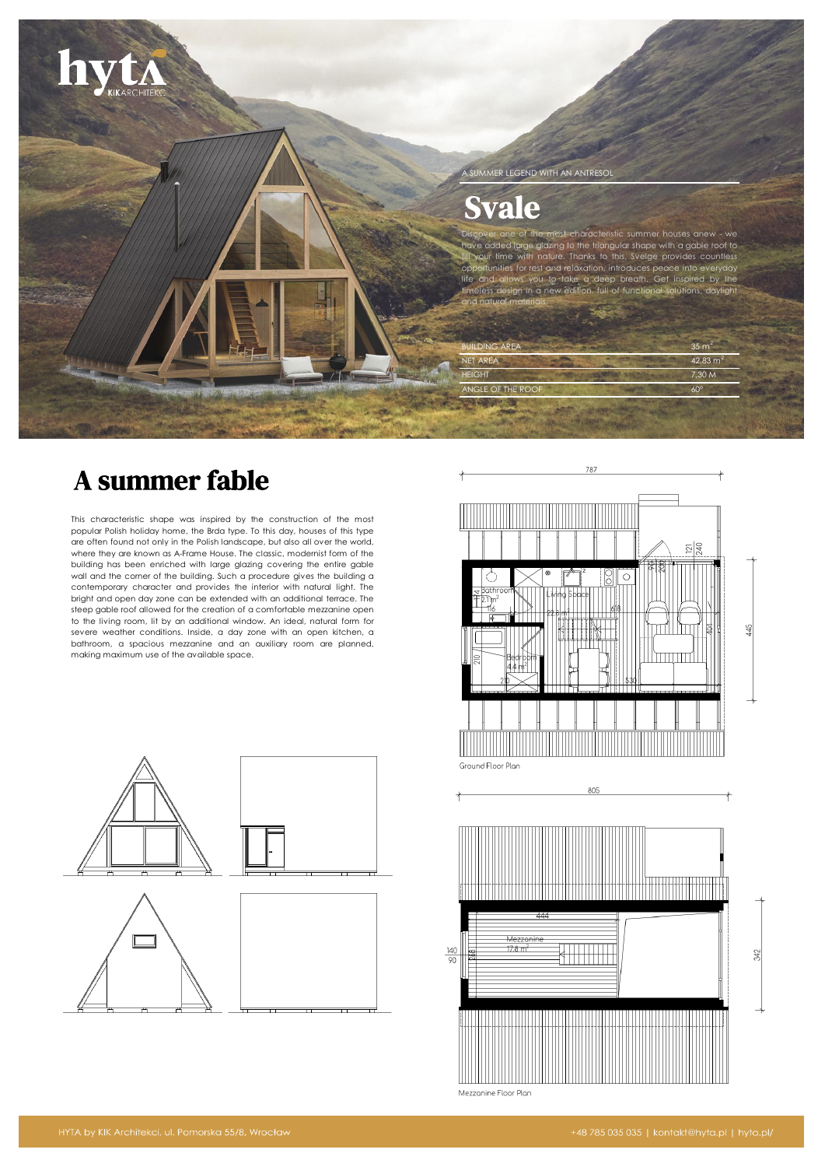

# A summer fable

This characteristic shape was inspired by the construction of the most popular Polish holiday home, the Brda type. To this day, houses of this type are often found not only in the Polish landscape, but also all over the world, where they are known as A-Frame House. The classic, modernist form of the building has been enriched with large glazing covering the entire gable wall and the corner of the building. Such a procedure gives the building a contemporary character and provides the interior with natural light. The bright and open day zone can be extended with an additional terrace. The steep gable roof allowed for the creation of a comfortable mezzanine open to the living room, lit by an additional window. An ideal, natural form for severe weather conditions. Inside, a day zone with an open kitchen, a bathroom, a spacious mezzanine and an auxiliary room are planned, making maximum use of the available space.





Mezzanine Floor Plar